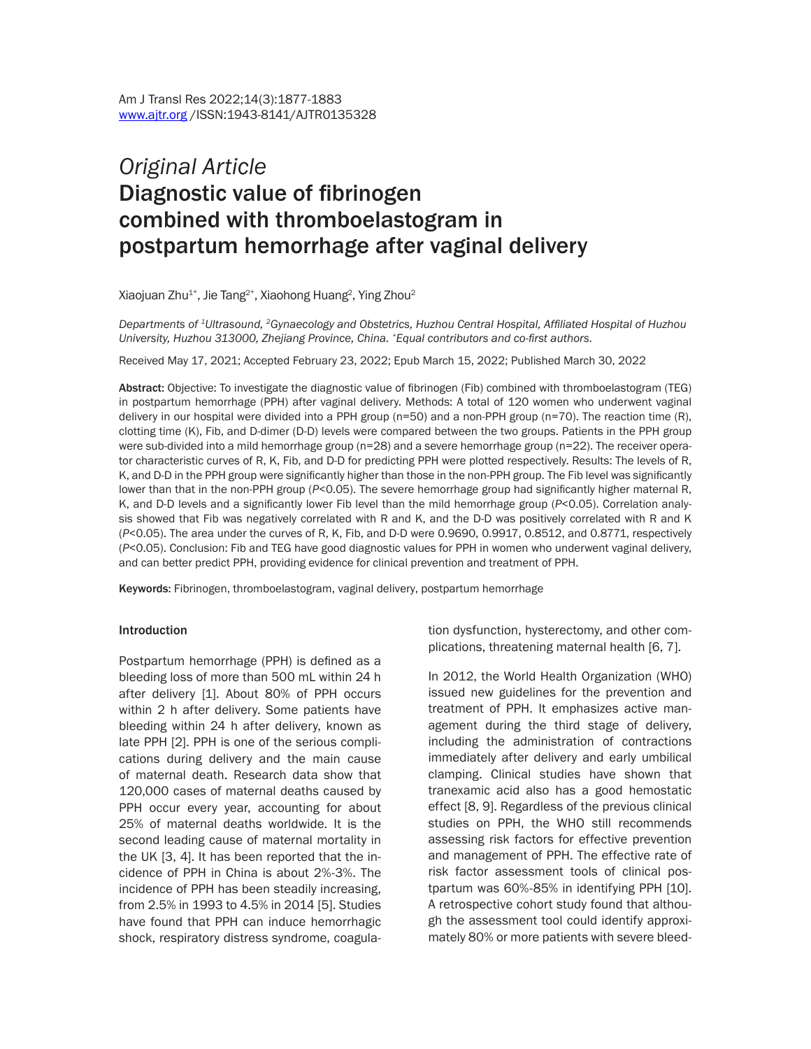# *Original Article* Diagnostic value of fibrinogen combined with thromboelastogram in postpartum hemorrhage after vaginal delivery

Xiaojuan Zhu $^{1*}$ , Jie Tang $^{2*}$ , Xiaohong Huang $^2$ , Ying Zhou $^2$ 

*Departments of 1Ultrasound, 2Gynaecology and Obstetrics, Huzhou Central Hospital, Affiliated Hospital of Huzhou University, Huzhou 313000, Zhejiang Province, China. \*Equal contributors and co-first authors.*

Received May 17, 2021; Accepted February 23, 2022; Epub March 15, 2022; Published March 30, 2022

Abstract: Objective: To investigate the diagnostic value of fibrinogen (Fib) combined with thromboelastogram (TEG) in postpartum hemorrhage (PPH) after vaginal delivery. Methods: A total of 120 women who underwent vaginal delivery in our hospital were divided into a PPH group (n=50) and a non-PPH group (n=70). The reaction time (R), clotting time (K), Fib, and D-dimer (D-D) levels were compared between the two groups. Patients in the PPH group were sub-divided into a mild hemorrhage group (n=28) and a severe hemorrhage group (n=22). The receiver operator characteristic curves of R, K, Fib, and D-D for predicting PPH were plotted respectively. Results: The levels of R, K, and D-D in the PPH group were significantly higher than those in the non-PPH group. The Fib level was significantly lower than that in the non-PPH group (*P*<0.05). The severe hemorrhage group had significantly higher maternal R, K, and D-D levels and a significantly lower Fib level than the mild hemorrhage group (*P*<0.05). Correlation analysis showed that Fib was negatively correlated with R and K, and the D-D was positively correlated with R and K (*P*<0.05). The area under the curves of R, K, Fib, and D-D were 0.9690, 0.9917, 0.8512, and 0.8771, respectively (*P*<0.05). Conclusion: Fib and TEG have good diagnostic values for PPH in women who underwent vaginal delivery, and can better predict PPH, providing evidence for clinical prevention and treatment of PPH.

Keywords: Fibrinogen, thromboelastogram, vaginal delivery, postpartum hemorrhage

#### **Introduction**

Postpartum hemorrhage (PPH) is defined as a bleeding loss of more than 500 mL within 24 h after delivery [1]. About 80% of PPH occurs within 2 h after delivery. Some patients have bleeding within 24 h after delivery, known as late PPH [2]. PPH is one of the serious complications during delivery and the main cause of maternal death. Research data show that 120,000 cases of maternal deaths caused by PPH occur every year, accounting for about 25% of maternal deaths worldwide. It is the second leading cause of maternal mortality in the UK [3, 4]. It has been reported that the incidence of PPH in China is about 2%-3%. The incidence of PPH has been steadily increasing, from 2.5% in 1993 to 4.5% in 2014 [5]. Studies have found that PPH can induce hemorrhagic shock, respiratory distress syndrome, coagulation dysfunction, hysterectomy, and other complications, threatening maternal health [6, 7].

In 2012, the World Health Organization (WHO) issued new guidelines for the prevention and treatment of PPH. It emphasizes active management during the third stage of delivery, including the administration of contractions immediately after delivery and early umbilical clamping. Clinical studies have shown that tranexamic acid also has a good hemostatic effect [8, 9]. Regardless of the previous clinical studies on PPH, the WHO still recommends assessing risk factors for effective prevention and management of PPH. The effective rate of risk factor assessment tools of clinical postpartum was 60%-85% in identifying PPH [10]. A retrospective cohort study found that although the assessment tool could identify approximately 80% or more patients with severe bleed-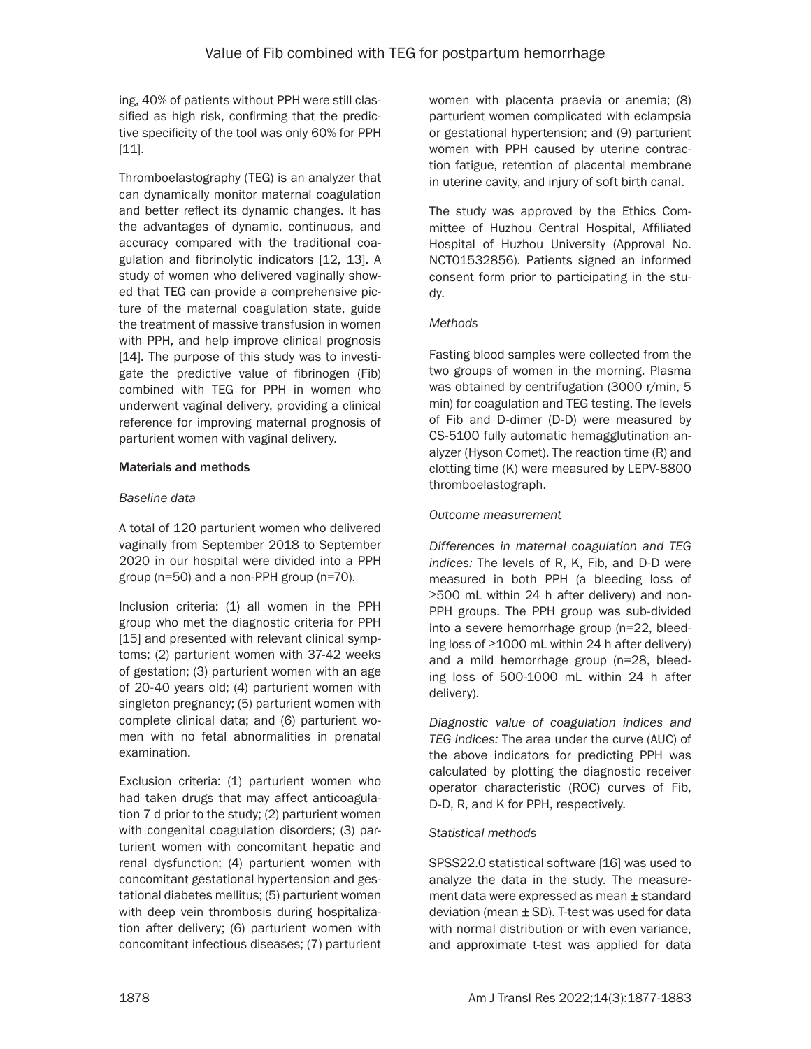ing, 40% of patients without PPH were still classified as high risk, confirming that the predictive specificity of the tool was only 60% for PPH [11].

Thromboelastography (TEG) is an analyzer that can dynamically monitor maternal coagulation and better reflect its dynamic changes. It has the advantages of dynamic, continuous, and accuracy compared with the traditional coagulation and fibrinolytic indicators [12, 13]. A study of women who delivered vaginally showed that TEG can provide a comprehensive picture of the maternal coagulation state, guide the treatment of massive transfusion in women with PPH, and help improve clinical prognosis [14]. The purpose of this study was to investigate the predictive value of fibrinogen (Fib) combined with TEG for PPH in women who underwent vaginal delivery, providing a clinical reference for improving maternal prognosis of parturient women with vaginal delivery.

## Materials and methods

## *Baseline data*

A total of 120 parturient women who delivered vaginally from September 2018 to September 2020 in our hospital were divided into a PPH group (n=50) and a non-PPH group (n=70).

Inclusion criteria: (1) all women in the PPH group who met the diagnostic criteria for PPH [15] and presented with relevant clinical symptoms; (2) parturient women with 37-42 weeks of gestation; (3) parturient women with an age of 20-40 years old; (4) parturient women with singleton pregnancy; (5) parturient women with complete clinical data; and (6) parturient women with no fetal abnormalities in prenatal examination.

Exclusion criteria: (1) parturient women who had taken drugs that may affect anticoagulation 7 d prior to the study; (2) parturient women with congenital coagulation disorders; (3) parturient women with concomitant hepatic and renal dysfunction; (4) parturient women with concomitant gestational hypertension and gestational diabetes mellitus; (5) parturient women with deep vein thrombosis during hospitalization after delivery; (6) parturient women with concomitant infectious diseases; (7) parturient women with placenta praevia or anemia; (8) parturient women complicated with eclampsia or gestational hypertension; and (9) parturient women with PPH caused by uterine contraction fatigue, retention of placental membrane in uterine cavity, and injury of soft birth canal.

The study was approved by the Ethics Committee of Huzhou Central Hospital, Affiliated Hospital of Huzhou University (Approval No. NCT01532856). Patients signed an informed consent form prior to participating in the study.

## *Methods*

Fasting blood samples were collected from the two groups of women in the morning. Plasma was obtained by centrifugation (3000 r/min, 5 min) for coagulation and TEG testing. The levels of Fib and D-dimer (D-D) were measured by CS-5100 fully automatic hemagglutination analyzer (Hyson Comet). The reaction time (R) and clotting time (K) were measured by LEPV-8800 thromboelastograph.

## *Outcome measurement*

*Differences in maternal coagulation and TEG indices:* The levels of R, K, Fib, and D-D were measured in both PPH (a bleeding loss of ≥500 mL within 24 h after delivery) and non-PPH groups. The PPH group was sub-divided into a severe hemorrhage group (n=22, bleeding loss of ≥1000 mL within 24 h after delivery) and a mild hemorrhage group (n=28, bleeding loss of 500-1000 mL within 24 h after delivery).

*Diagnostic value of coagulation indices and TEG indices:* The area under the curve (AUC) of the above indicators for predicting PPH was calculated by plotting the diagnostic receiver operator characteristic (ROC) curves of Fib, D-D, R, and K for PPH, respectively.

## *Statistical methods*

SPSS22.0 statistical software [16] was used to analyze the data in the study. The measurement data were expressed as mean ± standard deviation (mean  $\pm$  SD). T-test was used for data with normal distribution or with even variance, and approximate t-test was applied for data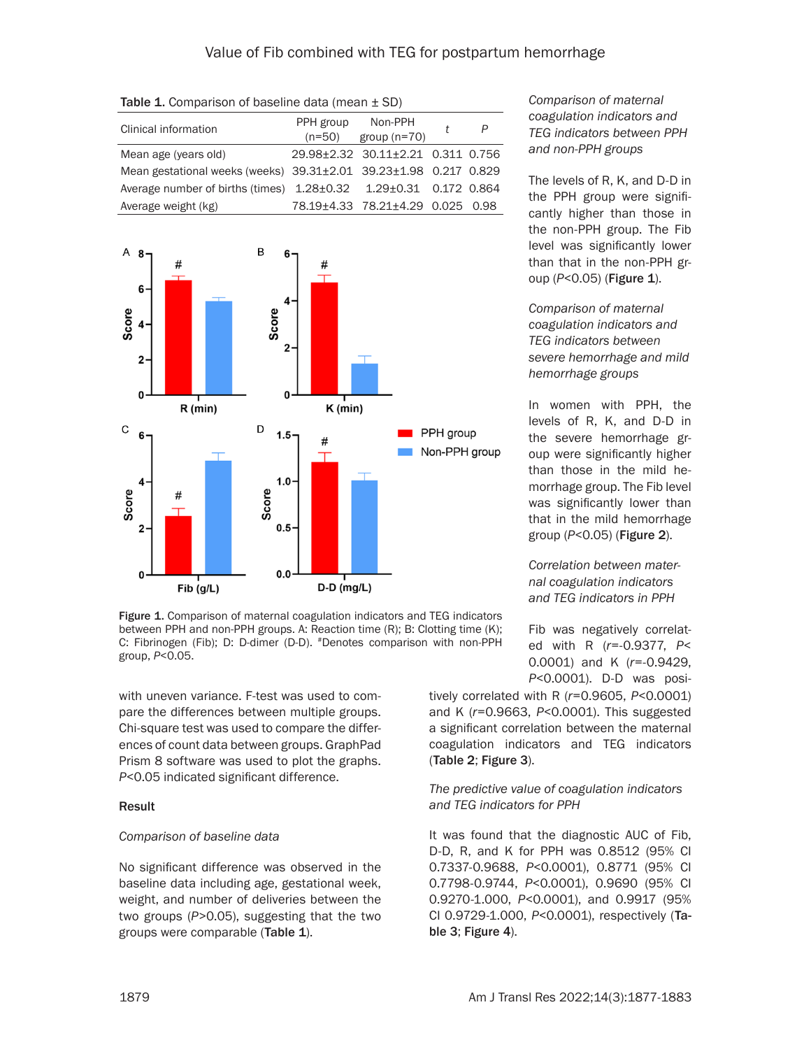| Clinical information                                                     | PPH group<br>$(n=50)$ | Non-PPH<br>group $(n=70)$         | P |
|--------------------------------------------------------------------------|-----------------------|-----------------------------------|---|
| Mean age (years old)                                                     |                       | 29.98±2.32 30.11±2.21 0.311 0.756 |   |
| Mean gestational weeks (weeks) 39.31±2.01 39.23±1.98 0.217 0.829         |                       |                                   |   |
| Average number of births (times) $1.28\pm0.32$ $1.29\pm0.31$ 0.172 0.864 |                       |                                   |   |
| Average weight (kg)                                                      |                       | 78.19±4.33 78.21±4.29 0.025 0.98  |   |
|                                                                          |                       |                                   |   |

**Table 1.** Comparison of baseline data (mean  $\pm$  SD)



Figure 1. Comparison of maternal coagulation indicators and TEG indicators between PPH and non-PPH groups. A: Reaction time (R); B: Clotting time (K); C: Fibrinogen (Fib); D: D-dimer (D-D). #Denotes comparison with non-PPH group, *P*<0.05.

with uneven variance. F-test was used to compare the differences between multiple groups. Chi-square test was used to compare the differences of count data between groups. GraphPad Prism 8 software was used to plot the graphs. *P*<0.05 indicated significant difference.

#### Result

## *Comparison of baseline data*

No significant difference was observed in the baseline data including age, gestational week, weight, and number of deliveries between the two groups (*P*>0.05), suggesting that the two groups were comparable (Table 1).

## *Comparison of maternal coagulation indicators and TEG indicators between PPH and non-PPH groups*

The levels of R, K, and D-D in the PPH group were significantly higher than those in the non-PPH group. The Fib level was significantly lower than that in the non-PPH group (*P*<0.05) (**Figure 1**).

*Comparison of maternal coagulation indicators and TEG indicators between severe hemorrhage and mild hemorrhage groups*

In women with PPH, the levels of R, K, and D-D in the severe hemorrhage group were significantly higher than those in the mild hemorrhage group. The Fib level was significantly lower than that in the mild hemorrhage group (*P*<0.05) (Figure 2).

*Correlation between maternal coagulation indicators and TEG indicators in PPH*

Fib was negatively correlated with R (*r*=-0.9377, *P*< 0.0001) and K (*r*=-0.9429, *P*<0.0001). D-D was posi-

tively correlated with R (*r*=0.9605, *P*<0.0001) and K (*r*=0.9663, *P*<0.0001). This suggested a significant correlation between the maternal coagulation indicators and TEG indicators (Table 2; Figure 3).

# *The predictive value of coagulation indicators and TEG indicators for PPH*

It was found that the diagnostic AUC of Fib, D-D, R, and K for PPH was 0.8512 (95% CI 0.7337-0.9688, *P*<0.0001), 0.8771 (95% CI 0.7798-0.9744, *P*<0.0001), 0.9690 (95% CI 0.9270-1.000, *P*<0.0001), and 0.9917 (95% CI 0.9729-1.000, *P*<0.0001), respectively (Table 3; Figure 4).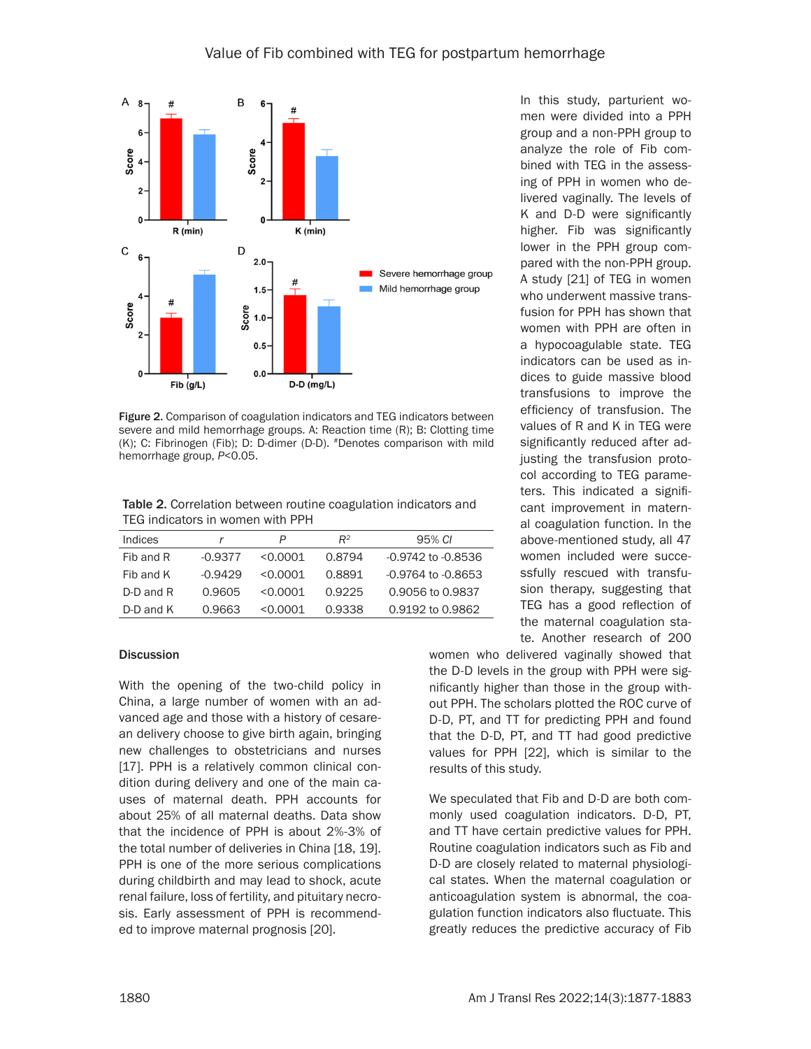

Figure 2. Comparison of coagulation indicators and TEG indicators between severe and mild hemorrhage groups. A: Reaction time (R); B: Clotting time (K); C: Fibrinogen (Fib); D: D-dimer (D-D). #Denotes comparison with mild hemorrhage group, *P*<0.05.

Table 2. Correlation between routine coagulation indicators and TEG indicators in women with PPH

| Indices   |           | P        | $R^2$  | 95% CI                 |
|-----------|-----------|----------|--------|------------------------|
| Fib and R | $-0.9377$ | < 0.0001 | 0.8794 | -0.9742 to -0.8536     |
| Fib and K | $-0.9429$ | < 0.0001 | 0.8891 | $-0.9764$ to $-0.8653$ |
| D-D and R | 0.9605    | < 0.0001 | 0.9225 | 0.9056 to 0.9837       |
| D-D and K | 0.9663    | < 0.0001 | 0.9338 | 0.9192 to 0.9862       |

#### **Discussion**

With the opening of the two-child policy in China, a large number of women with an advanced age and those with a history of cesarean delivery choose to give birth again, bringing new challenges to obstetricians and nurses [17]. PPH is a relatively common clinical condition during delivery and one of the main causes of maternal death. PPH accounts for about 25% of all maternal deaths. Data show that the incidence of PPH is about 2%-3% of the total number of deliveries in China [18, 19]. PPH is one of the more serious complications during childbirth and may lead to shock, acute renal failure, loss of fertility, and pituitary necrosis. Early assessment of PPH is recommended to improve maternal prognosis [20].

In this study, parturient women were divided into a PPH group and a non-PPH group to analyze the role of Fib combined with TEG in the assessing of PPH in women who delivered vaginally. The levels of K and D-D were significantly higher. Fib was significantly lower in the PPH group compared with the non-PPH group. A study [21] of TEG in women who underwent massive transfusion for PPH has shown that women with PPH are often in a hypocoagulable state. TEG indicators can be used as indices to guide massive blood transfusions to improve the efficiency of transfusion. The values of R and K in TEG were significantly reduced after adjusting the transfusion protocol according to TEG parameters. This indicated a significant improvement in maternal coagulation function. In the above-mentioned study, all 47 women included were successfully rescued with transfusion therapy, suggesting that TEG has a good reflection of the maternal coagulation state. Another research of 200

women who delivered vaginally showed that the D-D levels in the group with PPH were significantly higher than those in the group without PPH. The scholars plotted the ROC curve of D-D, PT, and TT for predicting PPH and found that the D-D, PT, and TT had good predictive values for PPH [22], which is similar to the results of this study.

We speculated that Fib and D-D are both commonly used coagulation indicators. D-D, PT, and TT have certain predictive values for PPH. Routine coagulation indicators such as Fib and D-D are closely related to maternal physiological states. When the maternal coagulation or anticoagulation system is abnormal, the coagulation function indicators also fluctuate. This greatly reduces the predictive accuracy of Fib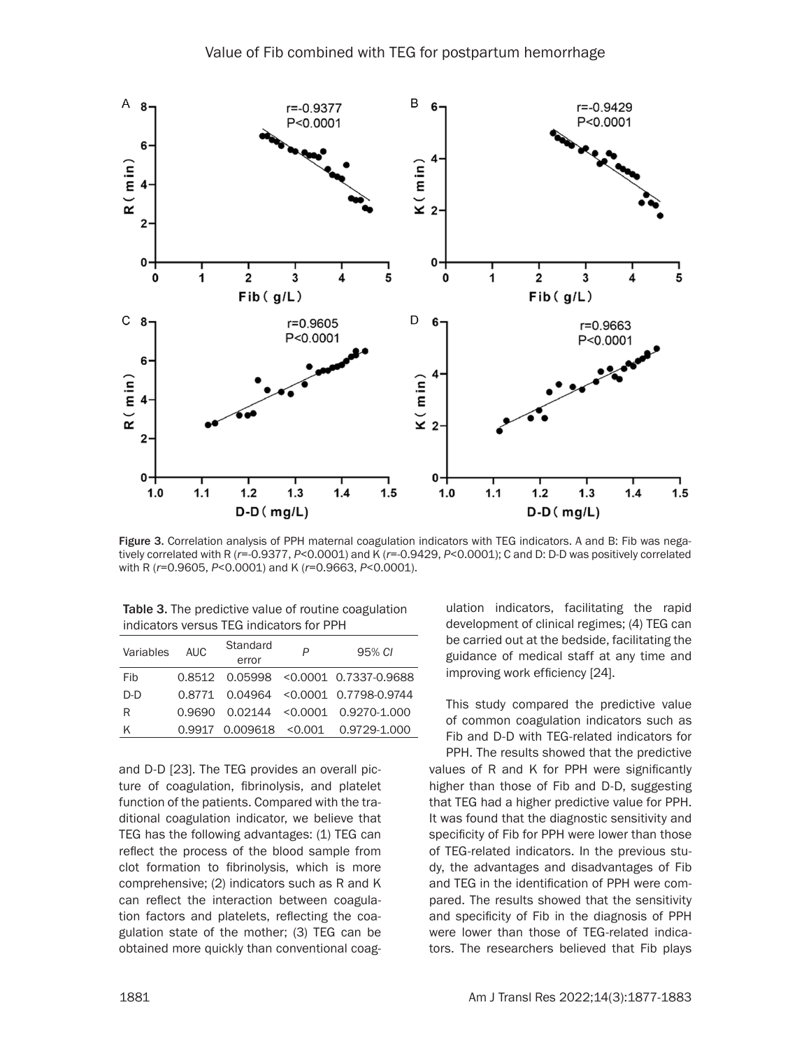

Figure 3. Correlation analysis of PPH maternal coagulation indicators with TEG indicators. A and B: Fib was negatively correlated with R (*r*=-0.9377, *P*<0.0001) and K (*r*=-0.9429, *P*<0.0001); C and D: D-D was positively correlated with R (*r*=0.9605, *P*<0.0001) and K (*r*=0.9663, *P*<0.0001).

Table 3. The predictive value of routine coagulation indicators versus TEG indicators for PPH

| Variables | AUC.   | Standard<br>error             | P | 95% CI                                   |
|-----------|--------|-------------------------------|---|------------------------------------------|
| Fib       |        |                               |   | 0.8512 0.05998 < 0.0001 0.7337-0.9688    |
| D-D       |        |                               |   | 0.8771  0.04964  < 0.0001  0.7798-0.9744 |
| R         | 0.9690 |                               |   | $0.02144$ < $0.0001$ 0.9270-1.000        |
| ĸ         |        | $0.9917$ $0.009618$ < $0.001$ |   | 0.9729-1.000                             |

and D-D [23]. The TEG provides an overall picture of coagulation, fibrinolysis, and platelet function of the patients. Compared with the traditional coagulation indicator, we believe that TEG has the following advantages: (1) TEG can reflect the process of the blood sample from clot formation to fibrinolysis, which is more comprehensive; (2) indicators such as R and K can reflect the interaction between coagulation factors and platelets, reflecting the coagulation state of the mother; (3) TEG can be obtained more quickly than conventional coagulation indicators, facilitating the rapid development of clinical regimes; (4) TEG can be carried out at the bedside, facilitating the guidance of medical staff at any time and improving work efficiency [24].

This study compared the predictive value of common coagulation indicators such as Fib and D-D with TEG-related indicators for

PPH. The results showed that the predictive values of R and K for PPH were significantly higher than those of Fib and D-D, suggesting that TEG had a higher predictive value for PPH. It was found that the diagnostic sensitivity and specificity of Fib for PPH were lower than those of TEG-related indicators. In the previous study, the advantages and disadvantages of Fib and TEG in the identification of PPH were compared. The results showed that the sensitivity and specificity of Fib in the diagnosis of PPH were lower than those of TEG-related indicators. The researchers believed that Fib plays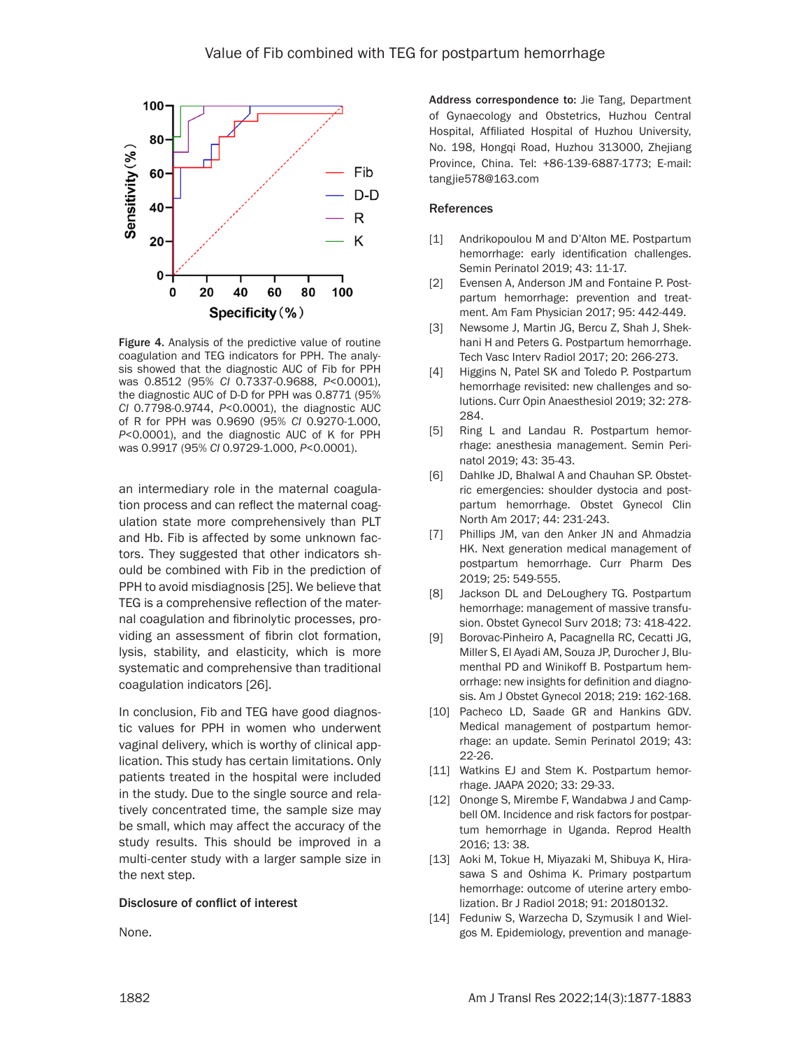

Figure 4. Analysis of the predictive value of routine coagulation and TEG indicators for PPH. The analysis showed that the diagnostic AUC of Fib for PPH was 0.8512 (95% *CI* 0.7337-0.9688, *P*<0.0001), the diagnostic AUC of D-D for PPH was 0.8771 (95% *CI* 0.7798-0.9744, *P*<0.0001), the diagnostic AUC of R for PPH was 0.9690 (95% *CI* 0.9270-1.000, *P*<0.0001), and the diagnostic AUC of K for PPH was 0.9917 (95% *CI* 0.9729-1.000, *P*<0.0001).

an intermediary role in the maternal coagulation process and can reflect the maternal coagulation state more comprehensively than PLT and Hb. Fib is affected by some unknown factors. They suggested that other indicators should be combined with Fib in the prediction of PPH to avoid misdiagnosis [25]. We believe that TEG is a comprehensive reflection of the maternal coagulation and fibrinolytic processes, providing an assessment of fibrin clot formation, lysis, stability, and elasticity, which is more systematic and comprehensive than traditional coagulation indicators [26].

In conclusion, Fib and TEG have good diagnostic values for PPH in women who underwent vaginal delivery, which is worthy of clinical application. This study has certain limitations. Only patients treated in the hospital were included in the study. Due to the single source and relatively concentrated time, the sample size may be small, which may affect the accuracy of the study results. This should be improved in a multi-center study with a larger sample size in the next step.

#### Disclosure of conflict of interest

None.

Address correspondence to: Jie Tang, Department of Gynaecology and Obstetrics, Huzhou Central Hospital, Affiliated Hospital of Huzhou University, No. 198, Hongqi Road, Huzhou 313000, Zhejiang Province, China. Tel: +86-139-6887-1773; E-mail: tangjie578@163.com

#### References

- [1] Andrikopoulou M and D'Alton ME. Postpartum hemorrhage: early identification challenges. Semin Perinatol 2019; 43: 11-17.
- [2] Evensen A, Anderson JM and Fontaine P. Postpartum hemorrhage: prevention and treatment. Am Fam Physician 2017; 95: 442-449.
- [3] Newsome J, Martin JG, Bercu Z, Shah J, Shekhani H and Peters G. Postpartum hemorrhage. Tech Vasc Interv Radiol 2017; 20: 266-273.
- [4] Higgins N, Patel SK and Toledo P. Postpartum hemorrhage revisited: new challenges and solutions. Curr Opin Anaesthesiol 2019; 32: 278- 284.
- [5] Ring L and Landau R. Postpartum hemorrhage: anesthesia management. Semin Perinatol 2019; 43: 35-43.
- [6] Dahlke JD, Bhalwal A and Chauhan SP. Obstetric emergencies: shoulder dystocia and postpartum hemorrhage. Obstet Gynecol Clin North Am 2017; 44: 231-243.
- [7] Phillips JM, van den Anker JN and Ahmadzia HK. Next generation medical management of postpartum hemorrhage. Curr Pharm Des 2019; 25: 549-555.
- [8] Jackson DL and DeLoughery TG. Postpartum hemorrhage: management of massive transfusion. Obstet Gynecol Surv 2018; 73: 418-422.
- [9] Borovac-Pinheiro A, Pacagnella RC, Cecatti JG, Miller S, El Ayadi AM, Souza JP, Durocher J, Blumenthal PD and Winikoff B. Postpartum hemorrhage: new insights for definition and diagnosis. Am J Obstet Gynecol 2018; 219: 162-168.
- [10] Pacheco LD, Saade GR and Hankins GDV. Medical management of postpartum hemorrhage: an update. Semin Perinatol 2019; 43: 22-26.
- [11] Watkins EJ and Stem K. Postpartum hemorrhage. JAAPA 2020; 33: 29-33.
- [12] Ononge S, Mirembe F, Wandabwa J and Campbell OM. Incidence and risk factors for postpartum hemorrhage in Uganda. Reprod Health 2016; 13: 38.
- [13] Aoki M, Tokue H, Miyazaki M, Shibuya K, Hirasawa S and Oshima K. Primary postpartum hemorrhage: outcome of uterine artery embolization. Br J Radiol 2018; 91: 20180132.
- [14] Feduniw S, Warzecha D, Szymusik I and Wielgos M. Epidemiology, prevention and manage-